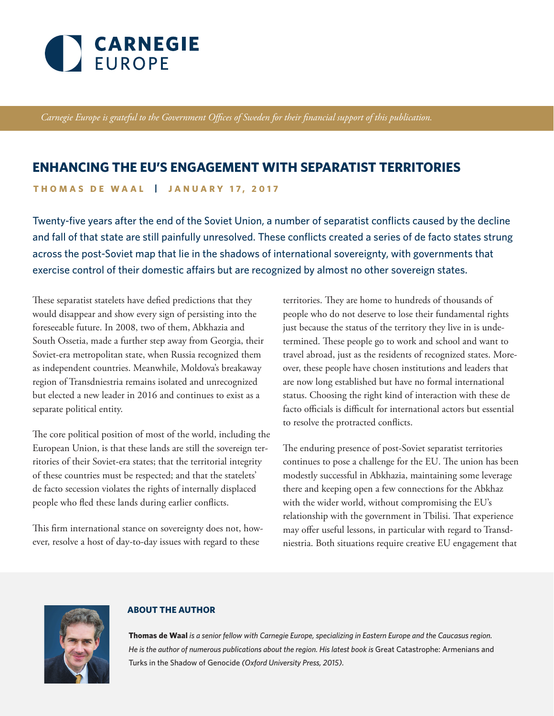

*Carnegie Europe is grateful to the Government Offices of Sweden for their financial support of this publication.*

# **ENHANCING THE EU'S ENGAGEMENT WITH SEPARATIST TERRITORIES**

**THOMAS DE WAAL | JANUARY 17, 2017**

Twenty-five years after the end of the Soviet Union, a number of separatist conflicts caused by the decline and fall of that state are still painfully unresolved. These conflicts created a series of de facto states strung across the post-Soviet map that lie in the shadows of international sovereignty, with governments that exercise control of their domestic affairs but are recognized by almost no other sovereign states.

These separatist statelets have defied predictions that they would disappear and show every sign of persisting into the foreseeable future. In 2008, two of them, Abkhazia and South Ossetia, made a further step away from Georgia, their Soviet-era metropolitan state, when Russia recognized them as independent countries. Meanwhile, Moldova's breakaway region of Transdniestria remains isolated and unrecognized but elected a new leader in 2016 and continues to exist as a separate political entity.

The core political position of most of the world, including the European Union, is that these lands are still the sovereign territories of their Soviet-era states; that the territorial integrity of these countries must be respected; and that the statelets' de facto secession violates the rights of internally displaced people who fled these lands during earlier conflicts.

This firm international stance on sovereignty does not, however, resolve a host of day-to-day issues with regard to these

territories. They are home to hundreds of thousands of people who do not deserve to lose their fundamental rights just because the status of the territory they live in is undetermined. These people go to work and school and want to travel abroad, just as the residents of recognized states. Moreover, these people have chosen institutions and leaders that are now long established but have no formal international status. Choosing the right kind of interaction with these de facto officials is difficult for international actors but essential to resolve the protracted conflicts.

The enduring presence of post-Soviet separatist territories continues to pose a challenge for the EU. The union has been modestly successful in Abkhazia, maintaining some leverage there and keeping open a few connections for the Abkhaz with the wider world, without compromising the EU's relationship with the government in Tbilisi. That experience may offer useful lessons, in particular with regard to Transdniestria. Both situations require creative EU engagement that



#### **ABOUT THE AUTHOR**

**Thomas de Waal** *is a senior fellow with Carnegie Europe, specializing in Eastern Europe and the Caucasus region. He is the author of numerous publications about the region. His latest book is Great Catastrophe: Armenians and* Turks in the Shadow of Genocide *(Oxford University Press, 2015).*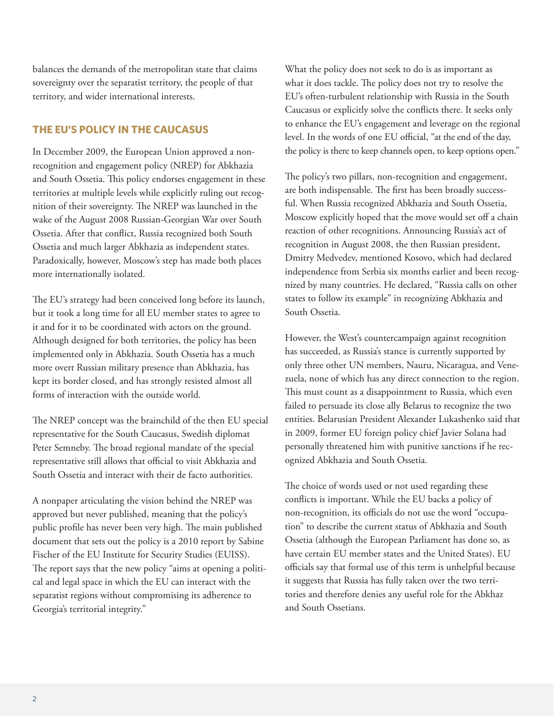balances the demands of the metropolitan state that claims sovereignty over the separatist territory, the people of that territory, and wider international interests.

## **THE EU'S POLICY IN THE CAUCASUS**

In December 2009, the European Union approved a nonrecognition and engagement policy (NREP) for Abkhazia and South Ossetia. This policy endorses engagement in these territories at multiple levels while explicitly ruling out recognition of their sovereignty. The NREP was launched in the wake of the August 2008 Russian-Georgian War over South Ossetia. After that conflict, Russia recognized both South Ossetia and much larger Abkhazia as independent states. Paradoxically, however, Moscow's step has made both places more internationally isolated.

The EU's strategy had been conceived long before its launch, but it took a long time for all EU member states to agree to it and for it to be coordinated with actors on the ground. Although designed for both territories, the policy has been implemented only in Abkhazia. South Ossetia has a much more overt Russian military presence than Abkhazia, has kept its border closed, and has strongly resisted almost all forms of interaction with the outside world.

The NREP concept was the brainchild of the then EU special representative for the South Caucasus, Swedish diplomat Peter Semneby. The broad regional mandate of the special representative still allows that official to visit Abkhazia and South Ossetia and interact with their de facto authorities.

A nonpaper articulating the vision behind the NREP was approved but never published, meaning that the policy's public profile has never been very high. The main published document that sets out the policy is a 2010 report by Sabine Fischer of the EU Institute for Security Studies (EUISS). The report says that the new policy "aims at opening a political and legal space in which the EU can interact with the separatist regions without compromising its adherence to Georgia's territorial integrity."

What the policy does not seek to do is as important as what it does tackle. The policy does not try to resolve the EU's often-turbulent relationship with Russia in the South Caucasus or explicitly solve the conflicts there. It seeks only to enhance the EU's engagement and leverage on the regional level. In the words of one EU official, "at the end of the day, the policy is there to keep channels open, to keep options open."

The policy's two pillars, non-recognition and engagement, are both indispensable. The first has been broadly successful. When Russia recognized Abkhazia and South Ossetia, Moscow explicitly hoped that the move would set off a chain reaction of other recognitions. Announcing Russia's act of recognition in August 2008, the then Russian president, Dmitry Medvedev, mentioned Kosovo, which had declared independence from Serbia six months earlier and been recognized by many countries. He declared, "Russia calls on other states to follow its example" in recognizing Abkhazia and South Ossetia.

However, the West's countercampaign against recognition has succeeded, as Russia's stance is currently supported by only three other UN members, Nauru, Nicaragua, and Venezuela, none of which has any direct connection to the region. This must count as a disappointment to Russia, which even failed to persuade its close ally Belarus to recognize the two entities. Belarusian President Alexander Lukashenko said that in 2009, former EU foreign policy chief Javier Solana had personally threatened him with punitive sanctions if he recognized Abkhazia and South Ossetia.

The choice of words used or not used regarding these conflicts is important. While the EU backs a policy of non-recognition, its officials do not use the word "occupation" to describe the current status of Abkhazia and South Ossetia (although the European Parliament has done so, as have certain EU member states and the United States). EU officials say that formal use of this term is unhelpful because it suggests that Russia has fully taken over the two territories and therefore denies any useful role for the Abkhaz and South Ossetians.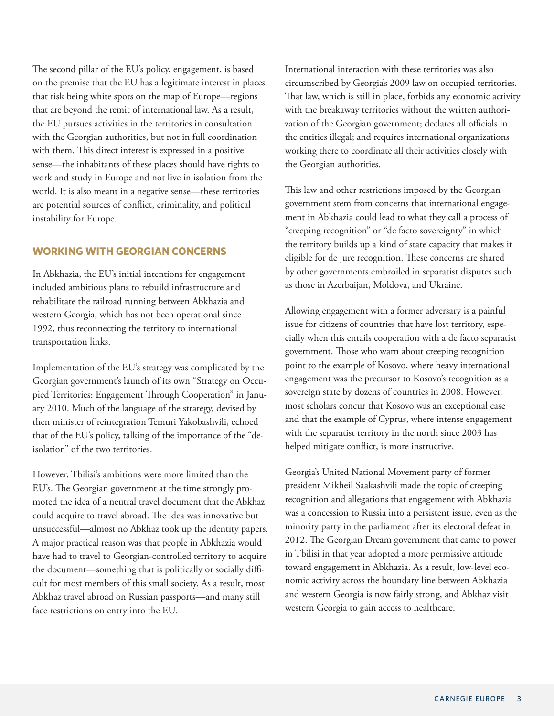The second pillar of the EU's policy, engagement, is based on the premise that the EU has a legitimate interest in places that risk being white spots on the map of Europe—regions that are beyond the remit of international law. As a result, the EU pursues activities in the territories in consultation with the Georgian authorities, but not in full coordination with them. This direct interest is expressed in a positive sense—the inhabitants of these places should have rights to work and study in Europe and not live in isolation from the world. It is also meant in a negative sense—these territories are potential sources of conflict, criminality, and political instability for Europe.

#### **WORKING WITH GEORGIAN CONCERNS**

In Abkhazia, the EU's initial intentions for engagement included ambitious plans to rebuild infrastructure and rehabilitate the railroad running between Abkhazia and western Georgia, which has not been operational since 1992, thus reconnecting the territory to international transportation links.

Implementation of the EU's strategy was complicated by the Georgian government's launch of its own "Strategy on Occupied Territories: Engagement Through Cooperation" in January 2010. Much of the language of the strategy, devised by then minister of reintegration Temuri Yakobashvili, echoed that of the EU's policy, talking of the importance of the "deisolation" of the two territories.

However, Tbilisi's ambitions were more limited than the EU's. The Georgian government at the time strongly promoted the idea of a neutral travel document that the Abkhaz could acquire to travel abroad. The idea was innovative but unsuccessful—almost no Abkhaz took up the identity papers. A major practical reason was that people in Abkhazia would have had to travel to Georgian-controlled territory to acquire the document—something that is politically or socially difficult for most members of this small society. As a result, most Abkhaz travel abroad on Russian passports—and many still face restrictions on entry into the EU.

International interaction with these territories was also circumscribed by Georgia's 2009 law on occupied territories. That law, which is still in place, forbids any economic activity with the breakaway territories without the written authorization of the Georgian government; declares all officials in the entities illegal; and requires international organizations working there to coordinate all their activities closely with the Georgian authorities.

This law and other restrictions imposed by the Georgian government stem from concerns that international engagement in Abkhazia could lead to what they call a process of "creeping recognition" or "de facto sovereignty" in which the territory builds up a kind of state capacity that makes it eligible for de jure recognition. These concerns are shared by other governments embroiled in separatist disputes such as those in Azerbaijan, Moldova, and Ukraine.

Allowing engagement with a former adversary is a painful issue for citizens of countries that have lost territory, especially when this entails cooperation with a de facto separatist government. Those who warn about creeping recognition point to the example of Kosovo, where heavy international engagement was the precursor to Kosovo's recognition as a sovereign state by dozens of countries in 2008. However, most scholars concur that Kosovo was an exceptional case and that the example of Cyprus, where intense engagement with the separatist territory in the north since 2003 has helped mitigate conflict, is more instructive.

Georgia's United National Movement party of former president Mikheil Saakashvili made the topic of creeping recognition and allegations that engagement with Abkhazia was a concession to Russia into a persistent issue, even as the minority party in the parliament after its electoral defeat in 2012. The Georgian Dream government that came to power in Tbilisi in that year adopted a more permissive attitude toward engagement in Abkhazia. As a result, low-level economic activity across the boundary line between Abkhazia and western Georgia is now fairly strong, and Abkhaz visit western Georgia to gain access to healthcare.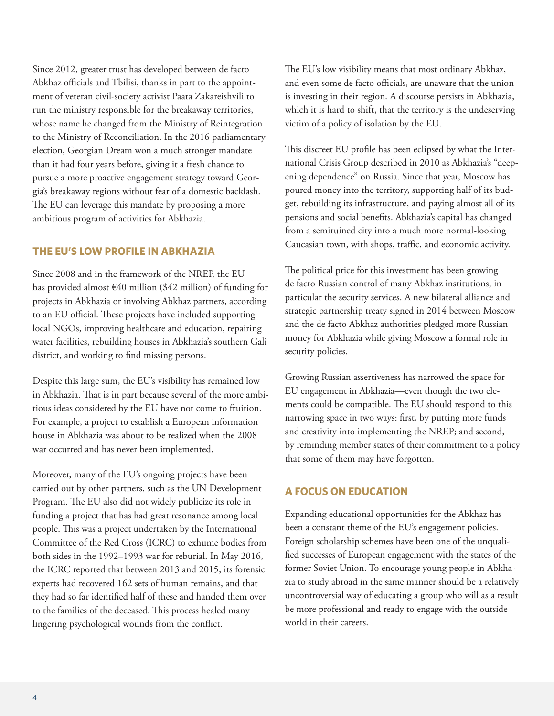Since 2012, greater trust has developed between de facto Abkhaz officials and Tbilisi, thanks in part to the appointment of veteran civil-society activist Paata Zakareishvili to run the ministry responsible for the breakaway territories, whose name he changed from the Ministry of Reintegration to the Ministry of Reconciliation. In the 2016 parliamentary election, Georgian Dream won a much stronger mandate than it had four years before, giving it a fresh chance to pursue a more proactive engagement strategy toward Georgia's breakaway regions without fear of a domestic backlash. The EU can leverage this mandate by proposing a more ambitious program of activities for Abkhazia.

#### **THE EU'S LOW PROFILE IN ABKHAZIA**

Since 2008 and in the framework of the NREP, the EU has provided almost €40 million (\$42 million) of funding for projects in Abkhazia or involving Abkhaz partners, according to an EU official. These projects have included supporting local NGOs, improving healthcare and education, repairing water facilities, rebuilding houses in Abkhazia's southern Gali district, and working to find missing persons.

Despite this large sum, the EU's visibility has remained low in Abkhazia. That is in part because several of the more ambitious ideas considered by the EU have not come to fruition. For example, a project to establish a European information house in Abkhazia was about to be realized when the 2008 war occurred and has never been implemented.

Moreover, many of the EU's ongoing projects have been carried out by other partners, such as the UN Development Program. The EU also did not widely publicize its role in funding a project that has had great resonance among local people. This was a project undertaken by the International Committee of the Red Cross (ICRC) to exhume bodies from both sides in the 1992–1993 war for reburial. In May 2016, the ICRC reported that between 2013 and 2015, its forensic experts had recovered 162 sets of human remains, and that they had so far identified half of these and handed them over to the families of the deceased. This process healed many lingering psychological wounds from the conflict.

The EU's low visibility means that most ordinary Abkhaz, and even some de facto officials, are unaware that the union is investing in their region. A discourse persists in Abkhazia, which it is hard to shift, that the territory is the undeserving victim of a policy of isolation by the EU.

This discreet EU profile has been eclipsed by what the International Crisis Group described in 2010 as Abkhazia's "deepening dependence" on Russia. Since that year, Moscow has poured money into the territory, supporting half of its budget, rebuilding its infrastructure, and paying almost all of its pensions and social benefits. Abkhazia's capital has changed from a semiruined city into a much more normal-looking Caucasian town, with shops, traffic, and economic activity.

The political price for this investment has been growing de facto Russian control of many Abkhaz institutions, in particular the security services. A new bilateral alliance and strategic partnership treaty signed in 2014 between Moscow and the de facto Abkhaz authorities pledged more Russian money for Abkhazia while giving Moscow a formal role in security policies.

Growing Russian assertiveness has narrowed the space for EU engagement in Abkhazia—even though the two elements could be compatible. The EU should respond to this narrowing space in two ways: first, by putting more funds and creativity into implementing the NREP; and second, by reminding member states of their commitment to a policy that some of them may have forgotten.

### **A FOCUS ON EDUCATION**

Expanding educational opportunities for the Abkhaz has been a constant theme of the EU's engagement policies. Foreign scholarship schemes have been one of the unqualified successes of European engagement with the states of the former Soviet Union. To encourage young people in Abkhazia to study abroad in the same manner should be a relatively uncontroversial way of educating a group who will as a result be more professional and ready to engage with the outside world in their careers.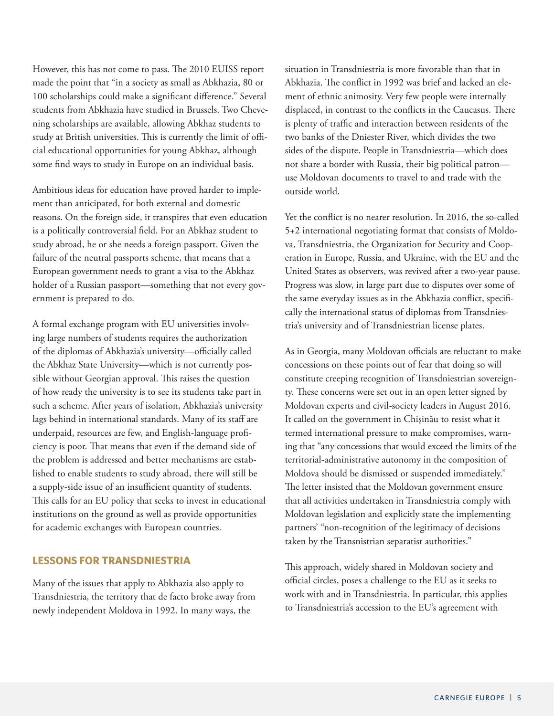However, this has not come to pass. The 2010 EUISS report made the point that "in a society as small as Abkhazia, 80 or 100 scholarships could make a significant difference." Several students from Abkhazia have studied in Brussels. Two Chevening scholarships are available, allowing Abkhaz students to study at British universities. This is currently the limit of official educational opportunities for young Abkhaz, although some find ways to study in Europe on an individual basis.

Ambitious ideas for education have proved harder to implement than anticipated, for both external and domestic reasons. On the foreign side, it transpires that even education is a politically controversial field. For an Abkhaz student to study abroad, he or she needs a foreign passport. Given the failure of the neutral passports scheme, that means that a European government needs to grant a visa to the Abkhaz holder of a Russian passport—something that not every government is prepared to do.

A formal exchange program with EU universities involving large numbers of students requires the authorization of the diplomas of Abkhazia's university—officially called the Abkhaz State University—which is not currently possible without Georgian approval. This raises the question of how ready the university is to see its students take part in such a scheme. After years of isolation, Abkhazia's university lags behind in international standards. Many of its staff are underpaid, resources are few, and English-language proficiency is poor. That means that even if the demand side of the problem is addressed and better mechanisms are established to enable students to study abroad, there will still be a supply-side issue of an insufficient quantity of students. This calls for an EU policy that seeks to invest in educational institutions on the ground as well as provide opportunities for academic exchanges with European countries.

#### **LESSONS FOR TRANSDNIESTRIA**

Many of the issues that apply to Abkhazia also apply to Transdniestria, the territory that de facto broke away from newly independent Moldova in 1992. In many ways, the

situation in Transdniestria is more favorable than that in Abkhazia. The conflict in 1992 was brief and lacked an element of ethnic animosity. Very few people were internally displaced, in contrast to the conflicts in the Caucasus. There is plenty of traffic and interaction between residents of the two banks of the Dniester River, which divides the two sides of the dispute. People in Transdniestria—which does not share a border with Russia, their big political patron use Moldovan documents to travel to and trade with the outside world.

Yet the conflict is no nearer resolution. In 2016, the so-called 5+2 international negotiating format that consists of Moldova, Transdniestria, the Organization for Security and Cooperation in Europe, Russia, and Ukraine, with the EU and the United States as observers, was revived after a two-year pause. Progress was slow, in large part due to disputes over some of the same everyday issues as in the Abkhazia conflict, specifically the international status of diplomas from Transdniestria's university and of Transdniestrian license plates.

As in Georgia, many Moldovan officials are reluctant to make concessions on these points out of fear that doing so will constitute creeping recognition of Transdniestrian sovereignty. These concerns were set out in an open letter signed by Moldovan experts and civil-society leaders in August 2016. It called on the government in Chişinău to resist what it termed international pressure to make compromises, warning that "any concessions that would exceed the limits of the territorial-administrative autonomy in the composition of Moldova should be dismissed or suspended immediately." The letter insisted that the Moldovan government ensure that all activities undertaken in Transdniestria comply with Moldovan legislation and explicitly state the implementing partners' "non-recognition of the legitimacy of decisions taken by the Transnistrian separatist authorities."

This approach, widely shared in Moldovan society and official circles, poses a challenge to the EU as it seeks to work with and in Transdniestria. In particular, this applies to Transdniestria's accession to the EU's agreement with